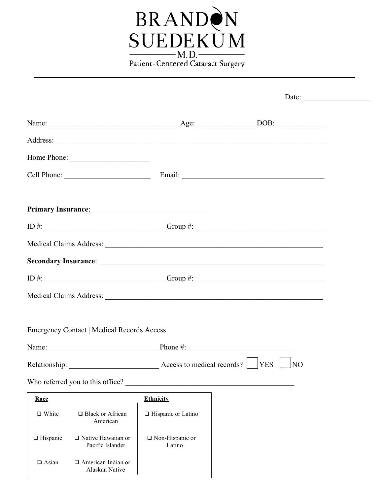

|                 | Home Phone:                                       |                                                      |           |
|-----------------|---------------------------------------------------|------------------------------------------------------|-----------|
|                 |                                                   |                                                      |           |
|                 |                                                   |                                                      |           |
|                 |                                                   |                                                      |           |
|                 |                                                   |                                                      |           |
|                 |                                                   |                                                      |           |
|                 |                                                   |                                                      |           |
|                 |                                                   |                                                      |           |
|                 |                                                   |                                                      |           |
|                 |                                                   |                                                      |           |
|                 | <b>Emergency Contact   Medical Records Access</b> |                                                      |           |
|                 |                                                   |                                                      |           |
|                 |                                                   | Relationship: Access to medical records? [Cases VES] | <b>NO</b> |
|                 | Who referred you to this office?                  |                                                      |           |
| Race            |                                                   | <b>Ethnicity</b>                                     |           |
| $\Box$ White    | $\Box$ Black or African<br>American               | □ Hispanic or Latino                                 |           |
| $\Box$ Hispanic | $\Box$ Native Hawaiian or<br>Pacific Islander     | $\Box$ Non-Hispanic or<br>Latino                     |           |
| $\Box$ Asian    | $\Box$ American Indian or<br>Alaskan Native       |                                                      |           |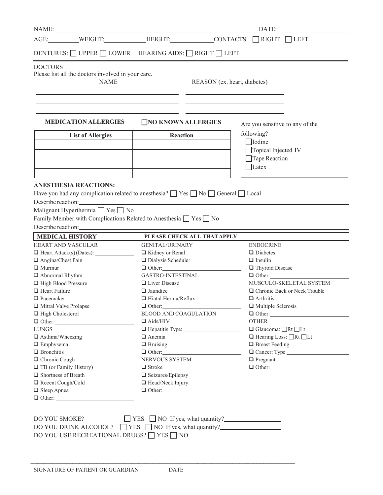| NAME: 2008. [19] 2008. [19] 2018. [19] 2018. [19] 2018. [19] 2018. [19] 2018. [19] 2019. [19] 2019. [19] 2019. [19] 2019. [19] 2019. [19] 2019. [19] 2019. [19] 2019. [19] 2019. [19] 2019. [19] 2019. [19] 2019. [19] 2019. [ |                                             | DATE:                                                           |  |  |
|--------------------------------------------------------------------------------------------------------------------------------------------------------------------------------------------------------------------------------|---------------------------------------------|-----------------------------------------------------------------|--|--|
| AGE: WEIGHT: HEIGHT: CONTACTS: NIGHT LEFT                                                                                                                                                                                      |                                             |                                                                 |  |  |
| DENTURES: □ UPPER □ LOWER HEARING AIDS: □ RIGHT □ LEFT                                                                                                                                                                         |                                             |                                                                 |  |  |
| <b>DOCTORS</b><br>Please list all the doctors involved in your care.                                                                                                                                                           |                                             |                                                                 |  |  |
| <b>NAME</b>                                                                                                                                                                                                                    |                                             | REASON (ex. heart, diabetes)                                    |  |  |
|                                                                                                                                                                                                                                |                                             |                                                                 |  |  |
|                                                                                                                                                                                                                                |                                             | the control of the control of the control of the control of the |  |  |
| <b>MEDICATION ALLERGIES</b>                                                                                                                                                                                                    | NO KNOWN ALLERGIES                          | Are you sensitive to any of the                                 |  |  |
| <b>List of Allergies</b>                                                                                                                                                                                                       | <b>Reaction</b>                             | following?<br><b>I</b> odine                                    |  |  |
|                                                                                                                                                                                                                                |                                             | □Topical Injected IV                                            |  |  |
|                                                                                                                                                                                                                                |                                             | Tape Reaction                                                   |  |  |
|                                                                                                                                                                                                                                |                                             | $\Box$ Latex                                                    |  |  |
| <b>ANESTHESIA REACTIONS:</b>                                                                                                                                                                                                   |                                             |                                                                 |  |  |
| Have you had any complication related to anesthesia? $\Box$ Yes $\Box$ No $\Box$ General $\Box$ Local                                                                                                                          |                                             |                                                                 |  |  |
| Describe reaction: New York Changes and Changes and Changes and Changes and Changes and Changes and Changes and Changes and Changes and Changes and Changes and Changes and Changes and Changes and Changes and Changes and Ch |                                             |                                                                 |  |  |
| Malignant Hyperthermia $\Box$ Yes $\Box$ No                                                                                                                                                                                    |                                             |                                                                 |  |  |
|                                                                                                                                                                                                                                |                                             |                                                                 |  |  |
| Family Member with Complications Related to Anesthesia $\Box$ Yes $\Box$ No                                                                                                                                                    |                                             |                                                                 |  |  |
| Describe reaction: New York Changes and Security and Security and Security and Security and Security and Security and Security and Security and Security and Security and Security and Security and Security and Security and  |                                             |                                                                 |  |  |
| <b>MEDICAL HISTORY</b>                                                                                                                                                                                                         | PLEASE CHECK ALL THAT APPLY                 |                                                                 |  |  |
| <b>HEART AND VASCULAR</b>                                                                                                                                                                                                      | <b>GENITAL/URINARY</b>                      | <b>ENDOCRINE</b>                                                |  |  |
|                                                                                                                                                                                                                                | □ Kidney or Renal                           | $\Box$ Diabetes<br>$\Box$ Insulin                               |  |  |
| Angina/Chest Pain<br>$\Box$ Murmur                                                                                                                                                                                             | Dialysis Schedule: 2008<br>$\Box$ Other:    | Thyroid Disease                                                 |  |  |
| $\Box$ Abnormal Rhythm                                                                                                                                                                                                         | <b>GASTRO-INTESTINAL</b>                    | $\Box$ Other:                                                   |  |  |
| High Blood Pressure                                                                                                                                                                                                            | $\Box$ Liver Disease                        | MUSCULO-SKELETAL SYSTEM                                         |  |  |
| $\Box$ Heart Failure                                                                                                                                                                                                           | $\Box$ Jaundice                             | □ Chronic Back or Neck Trouble                                  |  |  |
| $\Box$ Pacemaker                                                                                                                                                                                                               | $\Box$ Hiatal Hernia/Reflux                 | $\Box$ Arthritis                                                |  |  |
| Mitral Valve Prolapse                                                                                                                                                                                                          | $\Box$ Other:                               | $\Box$ Multiple Sclerosis                                       |  |  |
| $\Box$ High Cholesterol                                                                                                                                                                                                        | <b>BLOOD AND COAGULATION</b>                | $\Box$ Other:                                                   |  |  |
| $\Box$ Other:                                                                                                                                                                                                                  | $\Box$ Aids/HIV                             | <b>OTHER</b>                                                    |  |  |
| <b>LUNGS</b>                                                                                                                                                                                                                   |                                             | $\Box$ Glaucoma: $\Box$ Rt $\Box$ Lt                            |  |  |
| $\Box$ Asthma/Wheezing                                                                                                                                                                                                         | $\Box$ Anemia                               | $\Box$ Hearing Loss: $\Box$ Rt $\Box$ Lt                        |  |  |
| $\Box$ Emphysema                                                                                                                                                                                                               | $\Box$ Bruising                             | $\Box$ Breast Feeding                                           |  |  |
| $\Box$ Bronchitis                                                                                                                                                                                                              | $\Box$ Other:                               | Cancer: Type                                                    |  |  |
| □ Chronic Cough                                                                                                                                                                                                                | NERVOUS SYSTEM                              | $\Box$ Pregnant                                                 |  |  |
| $\Box$ TB (or Family History)                                                                                                                                                                                                  | $\Box$ Stroke                               |                                                                 |  |  |
| $\Box$ Shortness of Breath                                                                                                                                                                                                     | □ Seizures/Epilepsy                         |                                                                 |  |  |
| Recent Cough/Cold                                                                                                                                                                                                              | $\Box$ Head/Neck Injury                     |                                                                 |  |  |
| $\Box$ Sleep Apnea                                                                                                                                                                                                             |                                             |                                                                 |  |  |
| $\Box$ Other:                                                                                                                                                                                                                  |                                             |                                                                 |  |  |
|                                                                                                                                                                                                                                |                                             |                                                                 |  |  |
|                                                                                                                                                                                                                                |                                             |                                                                 |  |  |
| DO YOU SMOKE?                                                                                                                                                                                                                  | $\Box$ YES $\Box$ NO If yes, what quantity? |                                                                 |  |  |
| DO YOU DRINK ALCOHOL? $\Box$ YES $\Box$ NO If yes, what quantity?                                                                                                                                                              |                                             |                                                                 |  |  |
| DO YOU USE RECREATIONAL DRUGS? ■ YES ■ NO                                                                                                                                                                                      |                                             |                                                                 |  |  |
|                                                                                                                                                                                                                                |                                             |                                                                 |  |  |

\_\_\_\_\_\_\_\_\_\_\_\_\_\_\_\_\_\_\_\_\_\_\_\_\_\_\_\_\_\_\_\_\_\_\_\_\_\_\_\_\_\_\_\_\_\_\_\_\_\_\_\_\_\_\_\_\_\_\_\_\_\_\_\_\_\_\_\_\_\_\_\_\_\_\_\_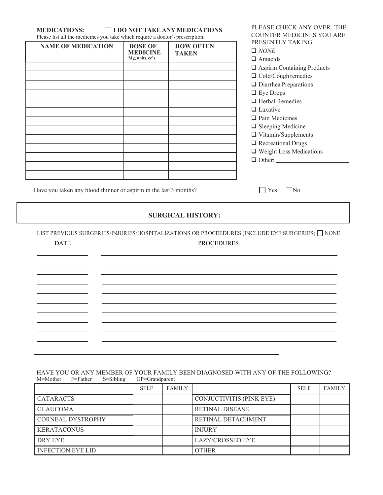| Please list all the medicines you take which require a doctor's prescription.<br><b>NAME OF MEDICATION</b> | <b>DOSE OF</b><br><b>MEDICINE</b><br>Mg, units, cc's | <b>HOW OFTEN</b><br><b>TAKEN</b> | COUNTER MEDICINES YOU ARE<br>PRESENTLY TAKING:<br>$\Box$ NONE<br>$\Box$ Antacids<br>$\hfill\blacksquare$<br>Aspirin Containing Products<br>$\Box$ Cold/Cough remedies<br>$\Box$ Diarrhea Preparations<br>□ Eye Drops<br>$\Box$ Herbal Remedies<br>$\Box$ Laxative<br>$\Box$ Pain Medicines<br>$\Box$ Sleeping Medicine<br>$\Box$ Vitamin/Supplements<br>Recreational Drugs<br>□ Weight Loss Medications<br>$\Box$ Other: |
|------------------------------------------------------------------------------------------------------------|------------------------------------------------------|----------------------------------|--------------------------------------------------------------------------------------------------------------------------------------------------------------------------------------------------------------------------------------------------------------------------------------------------------------------------------------------------------------------------------------------------------------------------|
| Have you taken any blood thinner or aspirin in the last 3 months?                                          |                                                      |                                  | <b>Yes</b><br>$\overline{\phantom{1}}$ No                                                                                                                                                                                                                                                                                                                                                                                |
|                                                                                                            |                                                      | <b>SURGICAL HISTORY:</b>         |                                                                                                                                                                                                                                                                                                                                                                                                                          |
| <b>DATE</b>                                                                                                |                                                      | <b>PROCEDURES</b>                | LIST PREVIOUS SURGERIES/INJURIES/HOSPITALIZATIONS OR PROCEEDURES (INCLUDE EYE SURGERIES) INONE                                                                                                                                                                                                                                                                                                                           |
|                                                                                                            |                                                      |                                  |                                                                                                                                                                                                                                                                                                                                                                                                                          |

#### HAVE YOU OR ANY MEMBER OF YOUR FAMILY BEEN DIAGNOSED WITH ANY OF THE FOLLOWING? M=Mother F=Father S=Sibling GP=Grandparent

 $\overline{\phantom{0}}$ 

 $\overline{\phantom{0}}$ 

 $\overline{\phantom{a}}$ 

the control of the control of

|                          | <b>SELF</b> | <b>FAMILY</b> |                          | <b>SELF</b> | <b>FAMILY</b> |
|--------------------------|-------------|---------------|--------------------------|-------------|---------------|
| <b>CATARACTS</b>         |             |               | CONJUCTIVITIS (PINK EYE) |             |               |
| <b>GLAUCOMA</b>          |             |               | <b>RETINAL DISEASE</b>   |             |               |
| <b>CORNEAL DYSTROPHY</b> |             |               | RETINAL DETACHMENT       |             |               |
| <b>KERATACONUS</b>       |             |               | <b>INJURY</b>            |             |               |
| DRY EYE                  |             |               | <b>LAZY/CROSSED EYE</b>  |             |               |
| <b>INFECTION EYE LID</b> |             |               | <b>OTHER</b>             |             |               |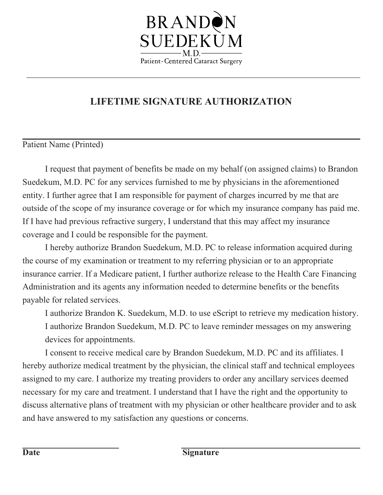

## **LIFETIME SIGNATURE AUTHORIZATION**

#### Patient Name (Printed)

I request that payment of benefits be made on my behalf (on assigned claims) to Brandon Suedekum, M.D. PC for any services furnished to me by physicians in the aforementioned entity. I further agree that I am responsible for payment of charges incurred by me that are outside of the scope of my insurance coverage or for which my insurance company has paid me. If I have had previous refractive surgery, I understand that this may affect my insurance coverage and I could be responsible for the payment.

I hereby authorize Brandon Suedekum, M.D. PC to release information acquired during the course of my examination or treatment to my referring physician or to an appropriate insurance carrier. If a Medicare patient, I further authorize release to the Health Care Financing Administration and its agents any information needed to determine benefits or the benefits payable for related services.

I authorize Brandon K. Suedekum, M.D. to use eScript to retrieve my medication history. I authorize Brandon Suedekum, M.D. PC to leave reminder messages on my answering devices for appointments.

I consent to receive medical care by Brandon Suedekum, M.D. PC and its affiliates. I hereby authorize medical treatment by the physician, the clinical staff and technical employees assigned to my care. I authorize my treating providers to order any ancillary services deemed necessary for my care and treatment. I understand that I have the right and the opportunity to discuss alternative plans of treatment with my physician or other healthcare provider and to ask and have answered to my satisfaction any questions or concerns.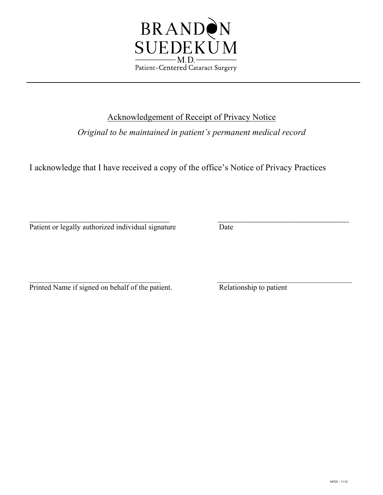

### Acknowledgement of Receipt of Privacy Notice

*Original to be maintained in patient's permanent medical record*

I acknowledge that I have received a copy of the office's Notice of Privacy Practices

 $\overline{\phantom{a}}$  , and the contribution of the contribution of the contribution of the contribution of the contribution of the contribution of the contribution of the contribution of the contribution of the contribution of the Patient or legally authorized individual signature Date

 $\overline{\phantom{a}}$  , and the contribution of the contribution of the contribution of the contribution of the contribution of the contribution of the contribution of the contribution of the contribution of the contribution of the Printed Name if signed on behalf of the patient. Relationship to patient